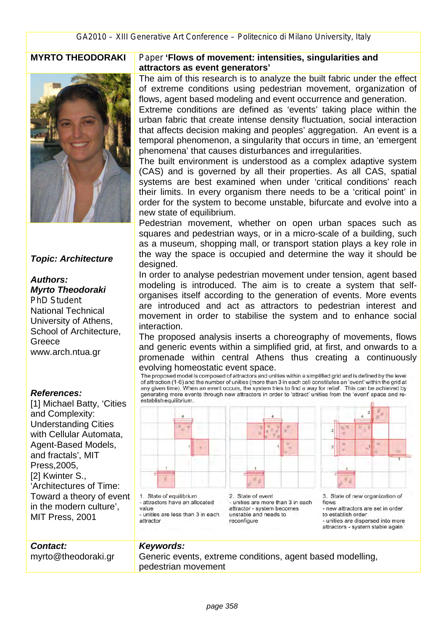

### *Topic: Architecture*

#### *Authors: Myrto Theodoraki*

*PhD Student* National Technical University of Athens, School of Architecture, Greece www.arch.ntua.gr

#### *References:*

[1] Michael Batty, 'Cities and Complexity: Understanding Cities with Cellular Automata, Agent-Based Models, and fractals', MIT Press,2005, [2] Kwinter S., 'Architectures of Time: Toward a theory of event in the modern culture', MIT Press, 2001

myrto@theodoraki.gr

#### **MYRTO THEODORAKI** *Paper* **'Flows of movement: intensities, singularities and attractors as event generators'**

The aim of this research is to analyze the built fabric under the effect of extreme conditions using pedestrian movement, organization of flows, agent based modeling and event occurrence and generation.

Extreme conditions are defined as 'events' taking place within the urban fabric that create intense density fluctuation, social interaction that affects decision making and peoples' aggregation. An event is a temporal phenomenon, a singularity that occurs in time, an 'emergent phenomena' that causes disturbances and irregularities.

The built environment is understood as a complex adaptive system (CAS) and is governed by all their properties. As all CAS, spatial systems are best examined when under 'critical conditions' reach their limits. In every organism there needs to be a 'critical point' in order for the system to become unstable, bifurcate and evolve into a new state of equilibrium.

Pedestrian movement, whether on open urban spaces such as squares and pedestrian ways, or in a micro-scale of a building, such as a museum, shopping mall, or transport station plays a key role in the way the space is occupied and determine the way it should be designed.

In order to analyse pedestrian movement under tension, agent based modeling is introduced. The aim is to create a system that selforganises itself according to the generation of events. More events are introduced and act as attractors to pedestrian interest and movement in order to stabilise the system and to enhance social interaction.

The proposed analysis inserts a choreography of movements, flows and generic events within a simplified grid, at first, and onwards to a promenade within central Athens thus creating a continuously evolving homeostatic event space.<br>The proposed model is composed of attractors and unities within a simplified grid and is defined by the level

of attraction (1-6) and the number of unities (more than 3 in each cell constitutes an 'event' within the grid at any given time). When an event occurs, the system tries to find a way for relief. This can be achieved by generating more events through new attractors in order to 'attract' unities from the 'event' space and reestablish equilibrium.



value - unities are less than 3 in each attractor

*Keywords:* 

- unities are more than 3 in each attractor - system becomes unstable and needs to reconfigure



3. State of new organization of flows - new attractors are set in order to establish order - unities are dispersed into more attractors - system stable again

# *Contact:*

Generic events, extreme conditions, agent based modelling, pedestrian movement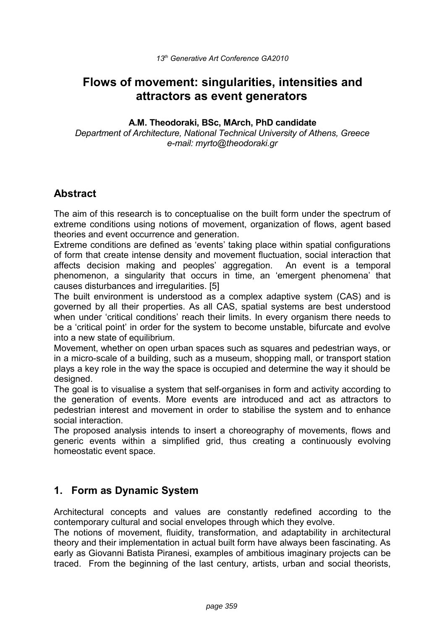# **Flows of movement: singularities, intensities and attractors as event generators**

#### **A.M. Theodoraki, BSc, MArch, PhD candidate**

*Department of Architecture, National Technical University of Athens, Greece e-mail: myrto@theodoraki.gr*

# **Abstract**

The aim of this research is to conceptualise on the built form under the spectrum of extreme conditions using notions of movement, organization of flows, agent based theories and event occurrence and generation.

Extreme conditions are defined as 'events' taking place within spatial configurations of form that create intense density and movement fluctuation, social interaction that affects decision making and peoples' aggregation. An event is a temporal phenomenon, a singularity that occurs in time, an 'emergent phenomena' that causes disturbances and irregularities. [5]

The built environment is understood as a complex adaptive system (CAS) and is governed by all their properties. As all CAS, spatial systems are best understood when under 'critical conditions' reach their limits. In every organism there needs to be a 'critical point' in order for the system to become unstable, bifurcate and evolve into a new state of equilibrium.

Movement, whether on open urban spaces such as squares and pedestrian ways, or in a micro-scale of a building, such as a museum, shopping mall, or transport station plays a key role in the way the space is occupied and determine the way it should be designed.

The goal is to visualise a system that self-organises in form and activity according to the generation of events. More events are introduced and act as attractors to pedestrian interest and movement in order to stabilise the system and to enhance social interaction.

The proposed analysis intends to insert a choreography of movements, flows and generic events within a simplified grid, thus creating a continuously evolving homeostatic event space.

# **1. Form as Dynamic System**

Architectural concepts and values are constantly redefined according to the contemporary cultural and social envelopes through which they evolve.

The notions of movement, fluidity, transformation, and adaptability in architectural theory and their implementation in actual built form have always been fascinating. As early as Giovanni Batista Piranesi, examples of ambitious imaginary projects can be traced. From the beginning of the last century, artists, urban and social theorists,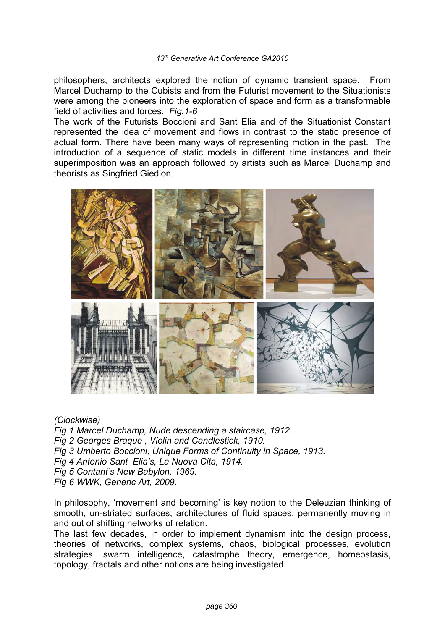philosophers, architects explored the notion of dynamic transient space. From Marcel Duchamp to the Cubists and from the Futurist movement to the Situationists were among the pioneers into the exploration of space and form as a transformable field of activities and forces. *Fig.1-6*

The work of the Futurists Boccioni and Sant Elia and of the Situationist Constant represented the idea of movement and flows in contrast to the static presence of actual form. There have been many ways of representing motion in the past. The introduction of a sequence of static models in different time instances and their superimposition was an approach followed by artists such as Marcel Duchamp and theorists as Singfried Giedion.



#### *(Clockwise)*

*Fig 1 Marcel Duchamp, Nude descending a staircase, 1912.*

- *Fig 2 Georges Braque , Violin and Candlestick, 1910.*
- *Fig 3 Umberto Boccioni, Unique Forms of Continuity in Space, 1913.*
- *Fig 4 Antonio Sant Elia's, La Nuova Cita, 1914.*
- *Fig 5 Contant's New Babylon, 1969.*

*Fig 6 WWK, Generic Art, 2009.*

In philosophy, 'movement and becoming' is key notion to the Deleuzian thinking of smooth, un-striated surfaces; architectures of fluid spaces, permanently moving in and out of shifting networks of relation.

The last few decades, in order to implement dynamism into the design process, theories of networks, complex systems, chaos, biological processes, evolution strategies, swarm intelligence, catastrophe theory, emergence, homeostasis, topology, fractals and other notions are being investigated.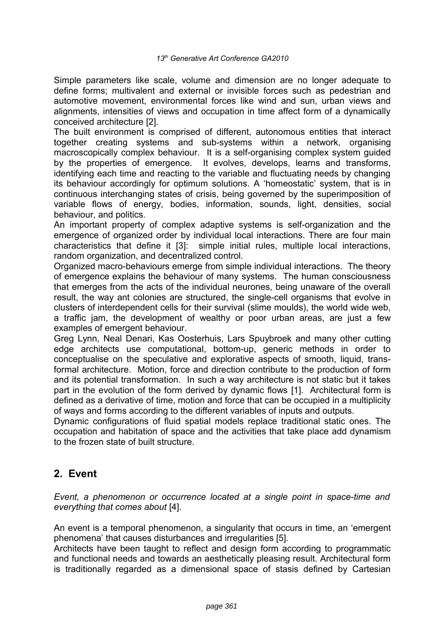Simple parameters like scale, volume and dimension are no longer adequate to define forms; multivalent and external or invisible forces such as pedestrian and automotive movement, environmental forces like wind and sun, urban views and alignments, intensities of views and occupation in time affect form of a dynamically conceived architecture [2].

The built environment is comprised of different, autonomous entities that interact together creating systems and sub-systems within a network, organising macroscopically complex behaviour. It is a self-organising complex system guided by the properties of emergence. It evolves, develops, learns and transforms, identifying each time and reacting to the variable and fluctuating needs by changing its behaviour accordingly for optimum solutions. A 'homeostatic' system, that is in continuous interchanging states of crisis, being governed by the superimposition of variable flows of energy, bodies, information, sounds, light, densities, social behaviour, and politics.

An important property of complex adaptive systems is self-organization and the emergence of organized order by individual local interactions. There are four main characteristics that define it [3]: simple initial rules, multiple local interactions, random organization, and decentralized control.

Organized macro-behaviours emerge from simple individual interactions. The theory of emergence explains the behaviour of many systems. The human consciousness that emerges from the acts of the individual neurones, being unaware of the overall result, the way ant colonies are structured, the single-cell organisms that evolve in clusters of interdependent cells for their survival (slime moulds), the world wide web, a traffic jam, the development of wealthy or poor urban areas, are just a few examples of emergent behaviour.

Greg Lynn, Neal Denari, Kas Oosterhuis, Lars Spuybroek and many other cutting edge architects use computational, bottom-up, generic methods in order to conceptualise on the speculative and explorative aspects of smooth, liquid, transformal architecture. Motion, force and direction contribute to the production of form and its potential transformation. In such a way architecture is not static but it takes part in the evolution of the form derived by dynamic flows [1]. Architectural form is defined as a derivative of time, motion and force that can be occupied in a multiplicity of ways and forms according to the different variables of inputs and outputs.

Dynamic configurations of fluid spatial models replace traditional static ones. The occupation and habitation of space and the activities that take place add dynamism to the frozen state of built structure.

# **2. Event**

*Event, a phenomenon or occurrence located at a single point in space-time and everything that comes about* [4].

An event is a temporal phenomenon, a singularity that occurs in time, an 'emergent phenomena' that causes disturbances and irregularities [5].

Architects have been taught to reflect and design form according to programmatic and functional needs and towards an aesthetically pleasing result. Architectural form is traditionally regarded as a dimensional space of stasis defined by Cartesian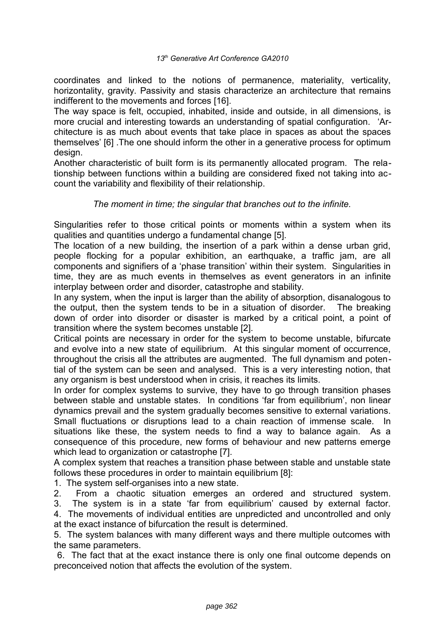coordinates and linked to the notions of permanence, materiality, verticality, horizontality, gravity. Passivity and stasis characterize an architecture that remains indifferent to the movements and forces [16].

The way space is felt, occupied, inhabited, inside and outside, in all dimensions, is more crucial and interesting towards an understanding of spatial configuration. 'Architecture is as much about events that take place in spaces as about the spaces themselves' [6] .The one should inform the other in a generative process for optimum design.

Another characteristic of built form is its permanently allocated program. The relationship between functions within a building are considered fixed not taking into account the variability and flexibility of their relationship.

#### *The moment in time; the singular that branches out to the infinite.*

Singularities refer to those critical points or moments within a system when its qualities and quantities undergo a fundamental change [5].

The location of a new building, the insertion of a park within a dense urban grid, people flocking for a popular exhibition, an earthquake, a traffic jam, are all components and signifiers of a 'phase transition' within their system. Singularities in time, they are as much events in themselves as event generators in an infinite interplay between order and disorder, catastrophe and stability.

In any system, when the input is larger than the ability of absorption, disanalogous to the output, then the system tends to be in a situation of disorder. The breaking down of order into disorder or disaster is marked by a critical point, a point of transition where the system becomes unstable [2].

Critical points are necessary in order for the system to become unstable, bifurcate and evolve into a new state of equilibrium. At this singular moment of occurrence, throughout the crisis all the attributes are augmented. The full dynamism and potential of the system can be seen and analysed. This is a very interesting notion, that any organism is best understood when in crisis, it reaches its limits.

In order for complex systems to survive, they have to go through transition phases between stable and unstable states. In conditions 'far from equilibrium', non linear dynamics prevail and the system gradually becomes sensitive to external variations. Small fluctuations or disruptions lead to a chain reaction of immense scale. In situations like these, the system needs to find a way to balance again. As a consequence of this procedure, new forms of behaviour and new patterns emerge which lead to organization or catastrophe [7].

A complex system that reaches a transition phase between stable and unstable state follows these procedures in order to maintain equilibrium [8]:

1. The system self-organises into a new state.

2. From a chaotic situation emerges an ordered and structured system.

3. The system is in a state 'far from equilibrium' caused by external factor.

4. The movements of individual entities are unpredicted and uncontrolled and only at the exact instance of bifurcation the result is determined.

5. The system balances with many different ways and there multiple outcomes with the same parameters.

 6. The fact that at the exact instance there is only one final outcome depends on preconceived notion that affects the evolution of the system.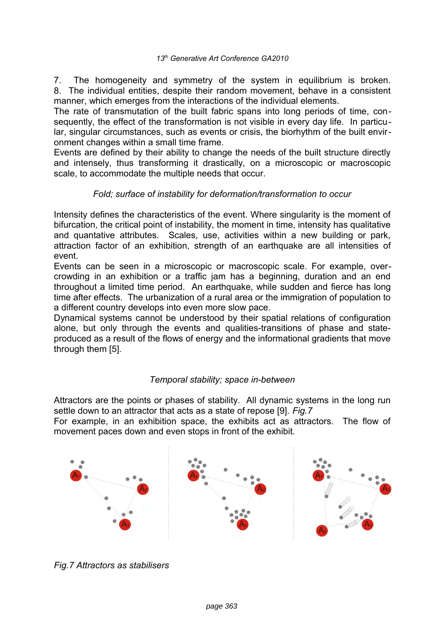7. The homogeneity and symmetry of the system in equilibrium is broken. 8. The individual entities, despite their random movement, behave in a consistent manner, which emerges from the interactions of the individual elements.

The rate of transmutation of the built fabric spans into long periods of time, consequently, the effect of the transformation is not visible in every day life. In particular, singular circumstances, such as events or crisis, the biorhythm of the built environment changes within a small time frame.

Events are defined by their ability to change the needs of the built structure directly and intensely, thus transforming it drastically, on a microscopic or macroscopic scale, to accommodate the multiple needs that occur.

## *Fold; surface of instability for deformation/transformation to occur*

Intensity defines the characteristics of the event. Where singularity is the moment of bifurcation, the critical point of instability, the moment in time, intensity has qualitative and quantative attributes. Scales, use, activities within a new building or park, attraction factor of an exhibition, strength of an earthquake are all intensities of event.

Events can be seen in a microscopic or macroscopic scale. For example, overcrowding in an exhibition or a traffic jam has a beginning, duration and an end throughout a limited time period. An earthquake, while sudden and fierce has long time after effects. The urbanization of a rural area or the immigration of population to a different country develops into even more slow pace.

Dynamical systems cannot be understood by their spatial relations of configuration alone, but only through the events and qualities-transitions of phase and stateproduced as a result of the flows of energy and the informational gradients that move through them [5].

### *Temporal stability; space in-between*

Attractors are the points or phases of stability. All dynamic systems in the long run settle down to an attractor that acts as a state of repose [9]. *Fig.7*

For example, in an exhibition space, the exhibits act as attractors. The flow of movement paces down and even stops in front of the exhibit.



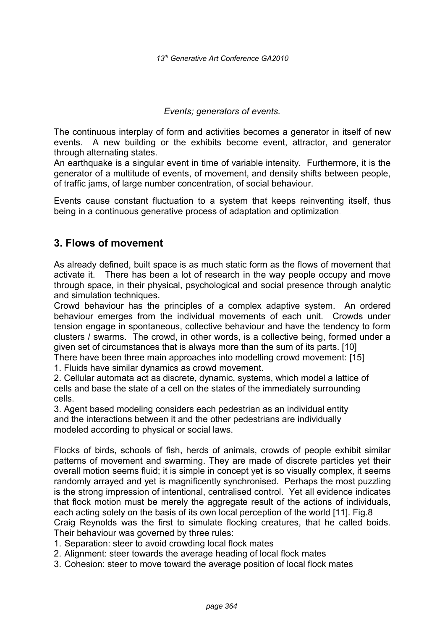*Events; generators of events.*

The continuous interplay of form and activities becomes a generator in itself of new events. A new building or the exhibits become event, attractor, and generator through alternating states.

An earthquake is a singular event in time of variable intensity. Furthermore, it is the generator of a multitude of events, of movement, and density shifts between people, of traffic jams, of large number concentration, of social behaviour.

Events cause constant fluctuation to a system that keeps reinventing itself, thus being in a continuous generative process of adaptation and optimization.

# **3. Flows of movement**

As already defined, built space is as much static form as the flows of movement that activate it. There has been a lot of research in the way people occupy and move through space, in their physical, psychological and social presence through analytic and simulation techniques.

Crowd behaviour has the principles of a complex adaptive system. An ordered behaviour emerges from the individual movements of each unit. Crowds under tension engage in spontaneous, collective behaviour and have the tendency to form clusters / swarms. The crowd, in other words, is a collective being, formed under a given set of circumstances that is always more than the sum of its parts. [10]

There have been three main approaches into modelling crowd movement: [15] 1. Fluids have similar dynamics as crowd movement.

2. Cellular automata act as discrete, dynamic, systems, which model a lattice of cells and base the state of a cell on the states of the immediately surrounding cells.

3. Agent based modeling considers each pedestrian as an individual entity and the interactions between it and the other pedestrians are individually modeled according to physical or social laws.

Flocks of birds, schools of fish, herds of animals, crowds of people exhibit similar patterns of movement and swarming. They are made of discrete particles yet their overall motion seems fluid; it is simple in concept yet is so visually complex, it seems randomly arrayed and yet is magnificently synchronised. Perhaps the most puzzling is the strong impression of intentional, centralised control. Yet all evidence indicates that flock motion must be merely the aggregate result of the actions of individuals, each acting solely on the basis of its own local perception of the world [11]. Fig.8 Craig Reynolds was the first to simulate flocking creatures, that he called boids. Their behaviour was governed by three rules:

- 1. Separation: steer to avoid crowding local flock mates
- 2. Alignment: steer towards the average heading of local flock mates
- 3. Cohesion: steer to move toward the average position of local flock mates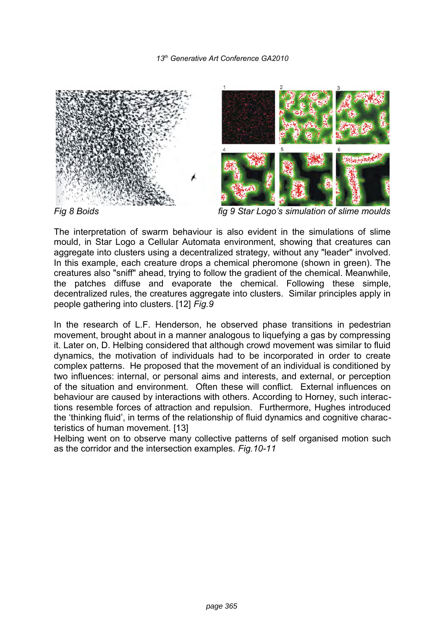

*Fig 8 Boids fig 9 Star Logo's simulation of slime moulds*

The interpretation of swarm behaviour is also evident in the simulations of slime mould, in Star Logo a Cellular Automata environment, showing that creatures can aggregate into clusters using a decentralized strategy, without any "leader" involved. In this example, each creature drops a chemical pheromone (shown in green). The creatures also "sniff" ahead, trying to follow the gradient of the chemical. Meanwhile, the patches diffuse and evaporate the chemical. Following these simple, decentralized rules, the creatures aggregate into clusters. Similar principles apply in people gathering into clusters. [12] *Fig.9*

In the research of L.F. Henderson, he observed phase transitions in pedestrian movement, brought about in a manner analogous to liquefying a gas by compressing it. Later on, D. Helbing considered that although crowd movement was similar to fluid dynamics, the motivation of individuals had to be incorporated in order to create complex patterns. He proposed that the movement of an individual is conditioned by two influences: internal, or personal aims and interests, and external, or perception of the situation and environment. Often these will conflict. External influences on behaviour are caused by interactions with others. According to Horney, such interactions resemble forces of attraction and repulsion. Furthermore, Hughes introduced the 'thinking fluid', in terms of the relationship of fluid dynamics and cognitive characteristics of human movement. [13]

Helbing went on to observe many collective patterns of self organised motion such as the corridor and the intersection examples. *Fig.10-11*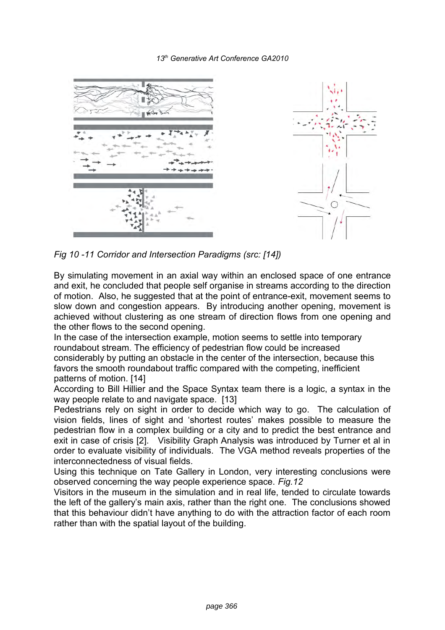



*Fig 10 -11 Corridor and Intersection Paradigms (src: [14])*

By simulating movement in an axial way within an enclosed space of one entrance and exit, he concluded that people self organise in streams according to the direction of motion. Also, he suggested that at the point of entrance-exit, movement seems to slow down and congestion appears. By introducing another opening, movement is achieved without clustering as one stream of direction flows from one opening and the other flows to the second opening.

In the case of the intersection example, motion seems to settle into temporary roundabout stream. The efficiency of pedestrian flow could be increased considerably by putting an obstacle in the center of the intersection, because this favors the smooth roundabout traffic compared with the competing, inefficient patterns of motion. [14]

According to Bill Hillier and the Space Syntax team there is a logic, a syntax in the way people relate to and navigate space. [13]

Pedestrians rely on sight in order to decide which way to go. The calculation of vision fields, lines of sight and 'shortest routes' makes possible to measure the pedestrian flow in a complex building or a city and to predict the best entrance and exit in case of crisis [2]. Visibility Graph Analysis was introduced by Turner et al in order to evaluate visibility of individuals. The VGA method reveals properties of the interconnectedness of visual fields.

Using this technique on Tate Gallery in London, very interesting conclusions were observed concerning the way people experience space. *Fig.12*

Visitors in the museum in the simulation and in real life, tended to circulate towards the left of the gallery's main axis, rather than the right one. The conclusions showed that this behaviour didn't have anything to do with the attraction factor of each room rather than with the spatial layout of the building.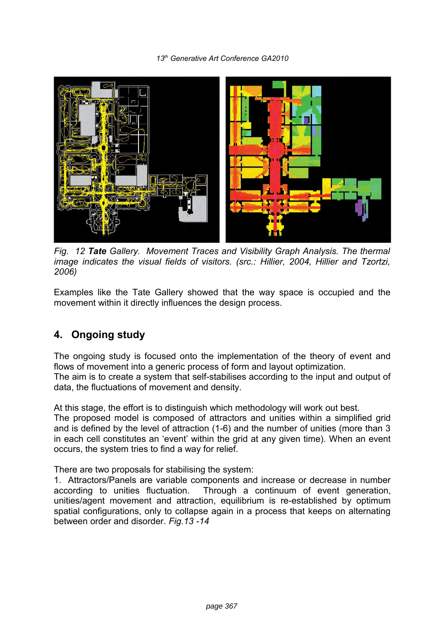

*Fig. 12 Tate Gallery. Movement Traces and Visibility Graph Analysis. The thermal image indicates the visual fields of visitors. (src.: Hillier, 2004, Hillier and Tzortzi, 2006)*

Examples like the Tate Gallery showed that the way space is occupied and the movement within it directly influences the design process.

# **4. Ongoing study**

The ongoing study is focused onto the implementation of the theory of event and flows of movement into a generic process of form and layout optimization. The aim is to create a system that self-stabilises according to the input and output of data, the fluctuations of movement and density.

At this stage, the effort is to distinguish which methodology will work out best.

The proposed model is composed of attractors and unities within a simplified grid and is defined by the level of attraction (1-6) and the number of unities (more than 3 in each cell constitutes an 'event' within the grid at any given time). When an event occurs, the system tries to find a way for relief.

There are two proposals for stabilising the system:

1. Attractors/Panels are variable components and increase or decrease in number according to unities fluctuation. Through a continuum of event generation, unities/agent movement and attraction, equilibrium is re-established by optimum spatial configurations, only to collapse again in a process that keeps on alternating between order and disorder. *Fig.13 -14*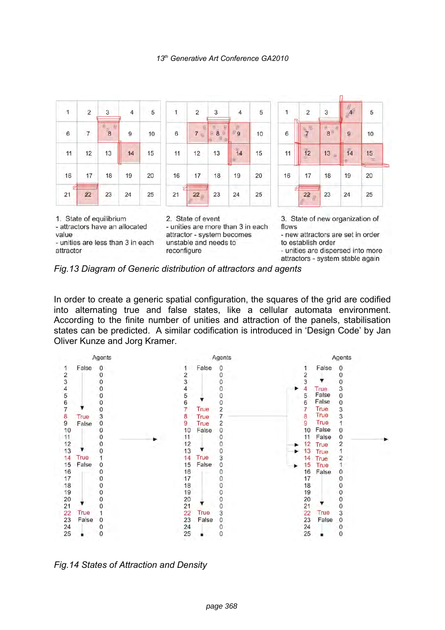

- unities are less than 3 in each attractor

unstable and needs to reconfigure

3. State of new organization of

to establish order

- unities are dispersed into more attractors - system stable again



In order to create a generic spatial configuration, the squares of the grid are codified into alternating true and false states, like a cellular automata environment. According to the finite number of unities and attraction of the panels, stabilisation states can be predicted. A similar codification is introduced in 'Design Code' by Jan Oliver Kunze and Jorg Kramer.



*Fig.14 States of Attraction and Density*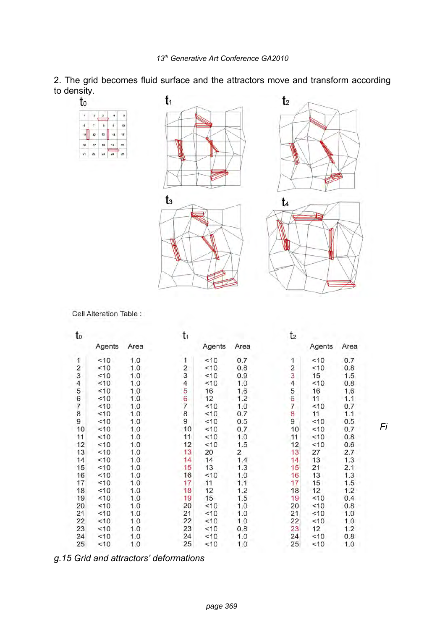2. The grid becomes fluid surface and the attractors move and transform according to density. J

| to           |                |              |               |    | t1    | t <sub>2</sub> |
|--------------|----------------|--------------|---------------|----|-------|----------------|
| $\mathbf{t}$ | $\overline{2}$ | $\mathbf{3}$ | $\frac{1}{4}$ | 5  |       |                |
| $\mathbf{g}$ | $\tau$         | 8            | $\pmb{9}$     | 10 |       |                |
| 11           | 12             | 13           | 14            | 15 |       |                |
| 16           | 17             | 18           | 19            | 20 |       |                |
| 21           | $\bf 22$       | $\bf 23$     | 24            | 25 |       |                |
|              |                |              |               |    |       |                |
|              |                |              |               |    |       |                |
|              |                |              |               |    |       |                |
|              |                |              |               |    | $t_3$ | t4             |
|              |                |              |               |    |       |                |
|              |                |              |               |    |       |                |
|              |                |              |               |    |       |                |
|              |                |              |               |    |       |                |
|              |                |              |               |    |       |                |
|              |                |              |               |    |       |                |
|              |                |              |               |    |       |                |

Cell Alteration Table :

| to                                             |        |      | t,                      |        |                |                         | t2     |      |  |  |
|------------------------------------------------|--------|------|-------------------------|--------|----------------|-------------------------|--------|------|--|--|
|                                                | Agents | Area |                         | Agents | Area           |                         | Agents | Area |  |  |
| 1                                              | <10    | 1.0  | 1                       | <10    | 0.7            | 1                       | < 10   | 0.7  |  |  |
|                                                | <10    | 1.0  | $\overline{\mathbf{c}}$ | <10    | 0.8            |                         | <10    | 0.8  |  |  |
| $\begin{array}{c}\n 2 \\ 3 \\ 4\n \end{array}$ | < 10   | 1.0  | 3                       | < 10   | 0.9            | $\frac{2}{3}$           | 15     | 1.5  |  |  |
|                                                | < 10   | 1.0  | 4                       | < 10   | 1.0            | $\overline{\mathbf{4}}$ | <10    | 0.8  |  |  |
| 5                                              | <10    | 1.0  | 5                       | 16     | 1.6            |                         | 16     | 1.6  |  |  |
| $\begin{array}{c} 6 \\ 7 \end{array}$          | <10    | 1.0  | 6                       | 12     | 1.2            | 5<br>6                  | 11     | 1.1  |  |  |
|                                                | < 10   | 1.0  | $\overline{7}$          | <10    | 1.0            | 7                       | < 10   | 0.7  |  |  |
| 8                                              | ~10    | 1.0  | 8                       | <10    | 0.7            | 8                       | 11     | 1.1  |  |  |
| 9                                              | < 10   | 1.0  | 9                       | < 10   | 0.5            | 9                       | < 10   | 0.5  |  |  |
| 10                                             | < 10   | 1.0  | 10                      | < 10   | 0.7            | 10                      | < 10   | 0.7  |  |  |
| 11                                             | <10    | 1.0  | 11                      | < 10   | 1.0            | 11                      | < 10   | 0.8  |  |  |
| 12                                             | < 10   | 1.0  | 12                      | < 10   | 1.5            | 12                      | < 10   | 0.6  |  |  |
| 13                                             | < 10   | 1.0  | 13                      | 20     | $\overline{c}$ | 13                      | 27     | 2.7  |  |  |
| 14                                             | <10    | 1.0  | 14                      | 14     | 1.4            | 14                      | 13     | 1.3  |  |  |
| 15                                             | < 10   | 1.0  | 15                      | 13     | 1.3            | 15                      | 21     | 2.1  |  |  |
| 16                                             | < 10   | 1.0  | 16                      | < 10   | 1.0            | 16                      | 13     | 1.3  |  |  |
| 17                                             | <10    | 1.0  | 17                      | 11     | 1,1            | 17                      | 15     | 1.5  |  |  |
| 18                                             | <10    | 1.0  | 18                      | 12     | 1.2            | 18                      | 12     | 1.2  |  |  |
| 19                                             | <10    | 1.0  | 19                      | 15     | 1.5            | 19                      | <10    | 0.4  |  |  |
| 20                                             | < 10   | 1.0  | 20                      | < 10   | 1.0            | 20                      | <10    | 0.8  |  |  |
| 21                                             | <10    | 1.0  | 21                      | $<$ 10 | 1.0            | 21                      | < 10   | 1.0  |  |  |
| 22                                             | <10    | 1.0  | 22                      | < 10   | 1.0            | 22                      | <10    | 1.0  |  |  |
| 23                                             | < 10   | 1.0  | 23                      | < 10   | 0.8            | 23                      | 12     | 1.2  |  |  |
| 24                                             | < 10   | 1.0  | 24                      | < 10   | 1.0            | 24                      | < 10   | 0.8  |  |  |
| 25                                             | 10     | 1.0  | 25                      | 10     | 1.0            | 25                      | 10     | 1.0  |  |  |

*Fi*

*g.15 Grid and attractors' deformations*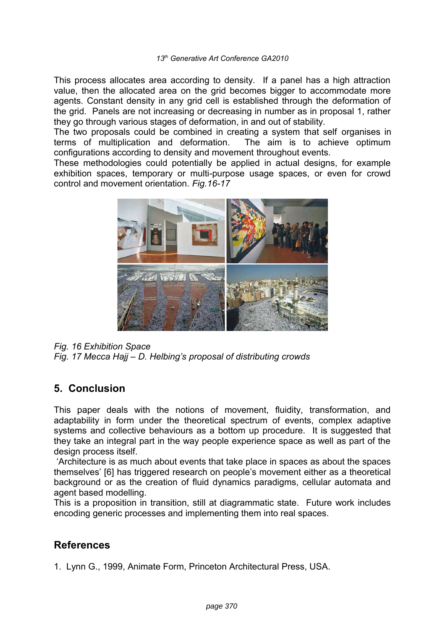This process allocates area according to density. If a panel has a high attraction value, then the allocated area on the grid becomes bigger to accommodate more agents. Constant density in any grid cell is established through the deformation of the grid. Panels are not increasing or decreasing in number as in proposal 1, rather they go through various stages of deformation, in and out of stability.

The two proposals could be combined in creating a system that self organises in terms of multiplication and deformation. The aim is to achieve optimum configurations according to density and movement throughout events.

These methodologies could potentially be applied in actual designs, for example exhibition spaces, temporary or multi-purpose usage spaces, or even for crowd control and movement orientation. *Fig.16-17*



*Fig. 16 Exhibition Space Fig. 17 Mecca Hajj – D. Helbing's proposal of distributing crowds* 

# **5. Conclusion**

This paper deals with the notions of movement, fluidity, transformation, and adaptability in form under the theoretical spectrum of events, complex adaptive systems and collective behaviours as a bottom up procedure. It is suggested that they take an integral part in the way people experience space as well as part of the design process itself.

 'Architecture is as much about events that take place in spaces as about the spaces themselves' [6] has triggered research on people's movement either as a theoretical background or as the creation of fluid dynamics paradigms, cellular automata and agent based modelling.

This is a proposition in transition, still at diagrammatic state. Future work includes encoding generic processes and implementing them into real spaces.

# **References**

1. Lynn G., 1999, Animate Form, Princeton Architectural Press, USA.